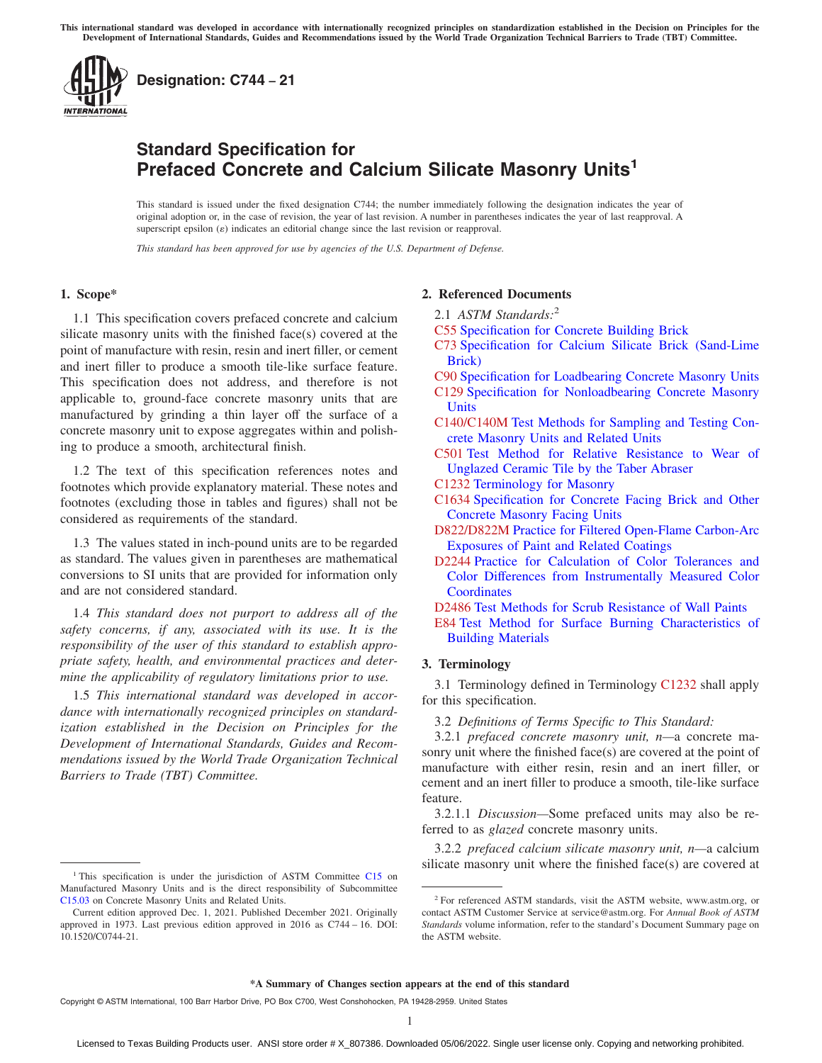<span id="page-0-0"></span>

# **Standard Specification for Prefaced Concrete and Calcium Silicate Masonry Units<sup>1</sup>**

This standard is issued under the fixed designation C744; the number immediately following the designation indicates the year of original adoption or, in the case of revision, the year of last revision. A number in parentheses indicates the year of last reapproval. A superscript epsilon  $(\varepsilon)$  indicates an editorial change since the last revision or reapproval.

*This standard has been approved for use by agencies of the U.S. Department of Defense.*

## **1. Scope\***

1.1 This specification covers prefaced concrete and calcium silicate masonry units with the finished face(s) covered at the point of manufacture with resin, resin and inert filler, or cement and inert filler to produce a smooth tile-like surface feature. This specification does not address, and therefore is not applicable to, ground-face concrete masonry units that are manufactured by grinding a thin layer off the surface of a concrete masonry unit to expose aggregates within and polishing to produce a smooth, architectural finish.

1.2 The text of this specification references notes and footnotes which provide explanatory material. These notes and footnotes (excluding those in tables and figures) shall not be considered as requirements of the standard.

1.3 The values stated in inch-pound units are to be regarded as standard. The values given in parentheses are mathematical conversions to SI units that are provided for information only and are not considered standard.

1.4 *This standard does not purport to address all of the safety concerns, if any, associated with its use. It is the responsibility of the user of this standard to establish appropriate safety, health, and environmental practices and determine the applicability of regulatory limitations prior to use.*

1.5 *This international standard was developed in accordance with internationally recognized principles on standardization established in the Decision on Principles for the Development of International Standards, Guides and Recommendations issued by the World Trade Organization Technical Barriers to Trade (TBT) Committee.*

## **2. Referenced Documents**

- 2.1 *ASTM Standards:*<sup>2</sup>
- [C55](#page-1-0) [Specification for Concrete Building Brick](https://doi.org/10.1520/C0055)
- [C73](#page-1-0) [Specification for Calcium Silicate Brick \(Sand-Lime](https://doi.org/10.1520/C0073) [Brick\)](https://doi.org/10.1520/C0073)
- [C90](#page-1-0) [Specification for Loadbearing Concrete Masonry Units](https://doi.org/10.1520/C0090)
- [C129](#page-1-0) [Specification for Nonloadbearing Concrete Masonry](https://doi.org/10.1520/C0129) [Units](https://doi.org/10.1520/C0129)
- [C140/C140M](#page-1-0) [Test Methods for Sampling and Testing Con](https://doi.org/10.1520/C0140_C0140M)[crete Masonry Units and Related Units](https://doi.org/10.1520/C0140_C0140M)
- [C501](#page-1-0) [Test Method for Relative Resistance to Wear of](https://doi.org/10.1520/C0501) [Unglazed Ceramic Tile by the Taber Abraser](https://doi.org/10.1520/C0501)
- C1232 [Terminology for Masonry](https://doi.org/10.1520/C1232)
- [C1634](#page-1-0) [Specification for Concrete Facing Brick and Other](https://doi.org/10.1520/C1634) [Concrete Masonry Facing Units](https://doi.org/10.1520/C1634)
- [D822/D822M](#page-2-0) [Practice for Filtered Open-Flame Carbon-Arc](https://doi.org/10.1520/D0822_D0822M) [Exposures of Paint and Related Coatings](https://doi.org/10.1520/D0822_D0822M)
- [D2244](#page-1-0) [Practice for Calculation of Color Tolerances and](https://doi.org/10.1520/D2244) [Color Differences from Instrumentally Measured Color](https://doi.org/10.1520/D2244) **[Coordinates](https://doi.org/10.1520/D2244)**
- [D2486](#page-2-0) [Test Methods for Scrub Resistance of Wall Paints](https://doi.org/10.1520/D2486)
- [E84](#page-1-0) [Test Method for Surface Burning Characteristics of](https://doi.org/10.1520/E0084) [Building Materials](https://doi.org/10.1520/E0084)

# **3. Terminology**

3.1 Terminology defined in Terminology C1232 shall apply for this specification.

3.2 *Definitions of Terms Specific to This Standard:*

3.2.1 *prefaced concrete masonry unit, n—*a concrete masonry unit where the finished face(s) are covered at the point of manufacture with either resin, resin and an inert filler, or cement and an inert filler to produce a smooth, tile-like surface feature.

3.2.1.1 *Discussion—*Some prefaced units may also be referred to as *glazed* concrete masonry units.

3.2.2 *prefaced calcium silicate masonry unit, n—*a calcium <sup>1</sup>This specification is under the jurisdiction of ASTM Committee [C15](http://www.astm.org/COMMIT/COMMITTEE/C15.htm) on

Manufactured Masonry Units and is the direct responsibility of Subcommittee [C15.03](http://www.astm.org/COMMIT/SUBCOMMIT/C1503.htm) on Concrete Masonry Units and Related Units.

Current edition approved Dec. 1, 2021. Published December 2021. Originally approved in 1973. Last previous edition approved in 2016 as C744 – 16. DOI: 10.1520/C0744-21.

<sup>2</sup> For referenced ASTM standards, visit the ASTM website, www.astm.org, or contact ASTM Customer Service at service@astm.org. For *Annual Book of ASTM Standards* volume information, refer to the standard's Document Summary page on the ASTM website.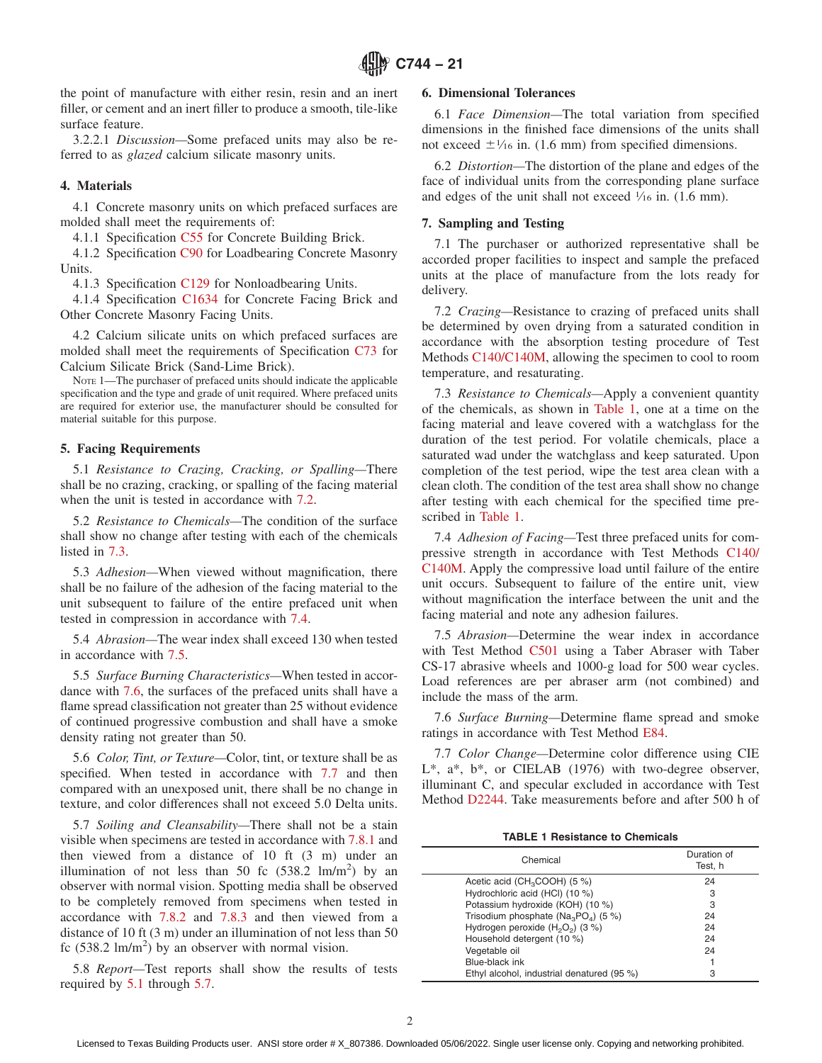<span id="page-1-0"></span>the point of manufacture with either resin, resin and an inert filler, or cement and an inert filler to produce a smooth, tile-like surface feature.

3.2.2.1 *Discussion—*Some prefaced units may also be referred to as *glazed* calcium silicate masonry units.

# **4. Materials**

4.1 Concrete masonry units on which prefaced surfaces are molded shall meet the requirements of:

4.1.1 Specification [C55](#page-0-0) for Concrete Building Brick.

4.1.2 Specification [C90](#page-0-0) for Loadbearing Concrete Masonry Units.

4.1.3 Specification [C129](#page-0-0) for Nonloadbearing Units.

4.1.4 Specification [C1634](#page-0-0) for Concrete Facing Brick and Other Concrete Masonry Facing Units.

4.2 Calcium silicate units on which prefaced surfaces are molded shall meet the requirements of Specification [C73](#page-0-0) for Calcium Silicate Brick (Sand-Lime Brick).

NOTE 1—The purchaser of prefaced units should indicate the applicable specification and the type and grade of unit required. Where prefaced units are required for exterior use, the manufacturer should be consulted for material suitable for this purpose.

#### **5. Facing Requirements**

5.1 *Resistance to Crazing, Cracking, or Spalling—*There shall be no crazing, cracking, or spalling of the facing material when the unit is tested in accordance with 7.2.

5.2 *Resistance to Chemicals—*The condition of the surface shall show no change after testing with each of the chemicals listed in 7.3.

5.3 *Adhesion—*When viewed without magnification, there shall be no failure of the adhesion of the facing material to the unit subsequent to failure of the entire prefaced unit when tested in compression in accordance with 7.4.

5.4 *Abrasion—*The wear index shall exceed 130 when tested in accordance with 7.5.

5.5 *Surface Burning Characteristics—*When tested in accordance with 7.6, the surfaces of the prefaced units shall have a flame spread classification not greater than 25 without evidence of continued progressive combustion and shall have a smoke density rating not greater than 50.

5.6 *Color, Tint, or Texture—*Color, tint, or texture shall be as specified. When tested in accordance with 7.7 and then compared with an unexposed unit, there shall be no change in texture, and color differences shall not exceed 5.0 Delta units.

5.7 *Soiling and Cleansability—*There shall not be a stain visible when specimens are tested in accordance with [7.8.1](#page-2-0) and then viewed from a distance of 10 ft (3 m) under an illumination of not less than 50 fc  $(538.2 \text{ lm/m}^2)$  by an observer with normal vision. Spotting media shall be observed to be completely removed from specimens when tested in accordance with [7.8.2](#page-2-0) and [7.8.3](#page-2-0) and then viewed from a distance of 10 ft (3 m) under an illumination of not less than 50 fc  $(538.2 \text{ lm/m}^2)$  by an observer with normal vision.

5.8 *Report—*Test reports shall show the results of tests required by 5.1 through 5.7.

# **6. Dimensional Tolerances**

6.1 *Face Dimension—*The total variation from specified dimensions in the finished face dimensions of the units shall not exceed  $\pm$ <sup>1</sup>/<sub>16</sub> in. (1.6 mm) from specified dimensions.

6.2 *Distortion—*The distortion of the plane and edges of the face of individual units from the corresponding plane surface and edges of the unit shall not exceed  $\frac{1}{16}$  in. (1.6 mm).

#### **7. Sampling and Testing**

7.1 The purchaser or authorized representative shall be accorded proper facilities to inspect and sample the prefaced units at the place of manufacture from the lots ready for delivery.

7.2 *Crazing—*Resistance to crazing of prefaced units shall be determined by oven drying from a saturated condition in accordance with the absorption testing procedure of Test Methods C140/C140M, allowing the specimen to cool to room temperature, and resaturating.

7.3 *Resistance to Chemicals—*Apply a convenient quantity of the chemicals, as shown in Table 1, one at a time on the facing material and leave covered with a watchglass for the duration of the test period. For volatile chemicals, place a saturated wad under the watchglass and keep saturated. Upon completion of the test period, wipe the test area clean with a clean cloth. The condition of the test area shall show no change after testing with each chemical for the specified time prescribed in Table 1.

7.4 *Adhesion of Facing—*Test three prefaced units for compressive strength in accordance with Test Methods [C140/](#page-0-0) [C140M.](#page-0-0) Apply the compressive load until failure of the entire unit occurs. Subsequent to failure of the entire unit, view without magnification the interface between the unit and the facing material and note any adhesion failures.

7.5 *Abrasion—*Determine the wear index in accordance with Test Method [C501](#page-0-0) using a Taber Abraser with Taber CS-17 abrasive wheels and 1000-g load for 500 wear cycles. Load references are per abraser arm (not combined) and include the mass of the arm.

7.6 *Surface Burning—*Determine flame spread and smoke ratings in accordance with Test Method [E84.](#page-0-0)

7.7 *Color Change—*Determine color difference using CIE L\*, a\*, b\*, or CIELAB (1976) with two-degree observer, illuminant C, and specular excluded in accordance with Test Method [D2244.](#page-0-0) Take measurements before and after 500 h of

**TABLE 1 Resistance to Chemicals**

| Chemical                                   | Duration of<br>Test, h |
|--------------------------------------------|------------------------|
| Acetic acid (CH <sub>3</sub> COOH) (5 %)   | 24                     |
| Hydrochloric acid (HCl) (10 %)             | З                      |
| Potassium hydroxide (KOH) (10 %)           | З                      |
| Trisodium phosphate ( $Na3PO4$ ) (5 %)     | 24                     |
| Hydrogen peroxide $(H_2O_2)$ (3 %)         | 24                     |
| Household detergent (10 %)                 | 24                     |
| Vegetable oil                              | 24                     |
| Blue-black ink                             |                        |
| Ethyl alcohol, industrial denatured (95 %) | 3                      |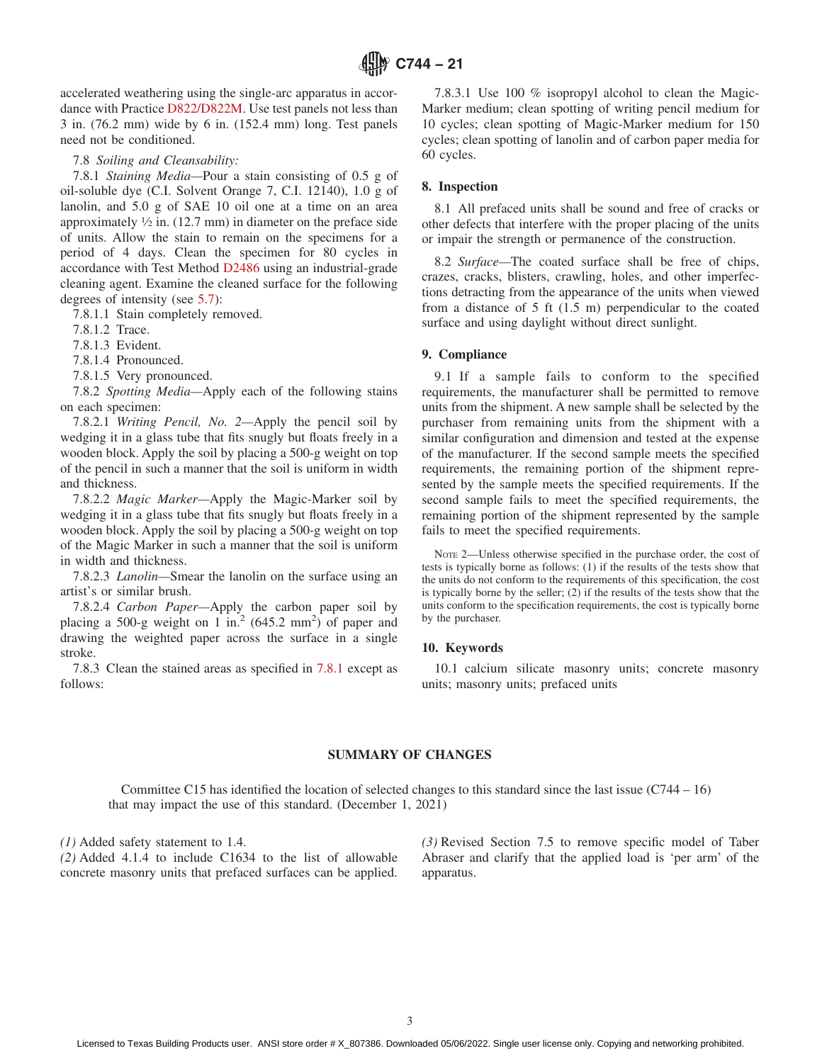<span id="page-2-0"></span>accelerated weathering using the single-arc apparatus in accordance with Practice [D822/D822M.](#page-0-0) Use test panels not less than 3 in. (76.2 mm) wide by 6 in. (152.4 mm) long. Test panels need not be conditioned.

7.8 *Soiling and Cleansability:*

7.8.1 *Staining Media—*Pour a stain consisting of 0.5 g of oil-soluble dye (C.I. Solvent Orange 7, C.I. 12140), 1.0 g of lanolin, and 5.0 g of SAE 10 oil one at a time on an area approximately  $\frac{1}{2}$  in. (12.7 mm) in diameter on the preface side of units. Allow the stain to remain on the specimens for a period of 4 days. Clean the specimen for 80 cycles in accordance with Test Method [D2486](#page-0-0) using an industrial-grade cleaning agent. Examine the cleaned surface for the following degrees of intensity (see [5.7\)](#page-1-0):

7.8.1.1 Stain completely removed.

7.8.1.2 Trace.

7.8.1.3 Evident.

7.8.1.4 Pronounced.

7.8.1.5 Very pronounced.

7.8.2 *Spotting Media—*Apply each of the following stains on each specimen:

7.8.2.1 *Writing Pencil, No. 2—*Apply the pencil soil by wedging it in a glass tube that fits snugly but floats freely in a wooden block. Apply the soil by placing a 500-g weight on top of the pencil in such a manner that the soil is uniform in width and thickness.

7.8.2.2 *Magic Marker—*Apply the Magic-Marker soil by wedging it in a glass tube that fits snugly but floats freely in a wooden block. Apply the soil by placing a 500-g weight on top of the Magic Marker in such a manner that the soil is uniform in width and thickness.

7.8.2.3 *Lanolin—*Smear the lanolin on the surface using an artist's or similar brush.

7.8.2.4 *Carbon Paper—*Apply the carbon paper soil by placing a 500-g weight on 1 in.<sup>2</sup> (645.2 mm<sup>2</sup>) of paper and drawing the weighted paper across the surface in a single stroke.

7.8.3 Clean the stained areas as specified in 7.8.1 except as follows:

7.8.3.1 Use 100 % isopropyl alcohol to clean the Magic-Marker medium; clean spotting of writing pencil medium for 10 cycles; clean spotting of Magic-Marker medium for 150 cycles; clean spotting of lanolin and of carbon paper media for 60 cycles.

# **8. Inspection**

8.1 All prefaced units shall be sound and free of cracks or other defects that interfere with the proper placing of the units or impair the strength or permanence of the construction.

8.2 *Surface—*The coated surface shall be free of chips, crazes, cracks, blisters, crawling, holes, and other imperfections detracting from the appearance of the units when viewed from a distance of 5 ft (1.5 m) perpendicular to the coated surface and using daylight without direct sunlight.

# **9. Compliance**

9.1 If a sample fails to conform to the specified requirements, the manufacturer shall be permitted to remove units from the shipment. A new sample shall be selected by the purchaser from remaining units from the shipment with a similar configuration and dimension and tested at the expense of the manufacturer. If the second sample meets the specified requirements, the remaining portion of the shipment represented by the sample meets the specified requirements. If the second sample fails to meet the specified requirements, the remaining portion of the shipment represented by the sample fails to meet the specified requirements.

NOTE 2—Unless otherwise specified in the purchase order, the cost of tests is typically borne as follows: (1) if the results of the tests show that the units do not conform to the requirements of this specification, the cost is typically borne by the seller;  $(2)$  if the results of the tests show that the units conform to the specification requirements, the cost is typically borne by the purchaser.

# **10. Keywords**

10.1 calcium silicate masonry units; concrete masonry units; masonry units; prefaced units

#### **SUMMARY OF CHANGES**

Committee C15 has identified the location of selected changes to this standard since the last issue (C744 – 16) that may impact the use of this standard. (December 1, 2021)

*(1)* Added safety statement to 1.4.

*(2)* Added 4.1.4 to include C1634 to the list of allowable concrete masonry units that prefaced surfaces can be applied. *(3)* Revised Section 7.5 to remove specific model of Taber Abraser and clarify that the applied load is 'per arm' of the apparatus.